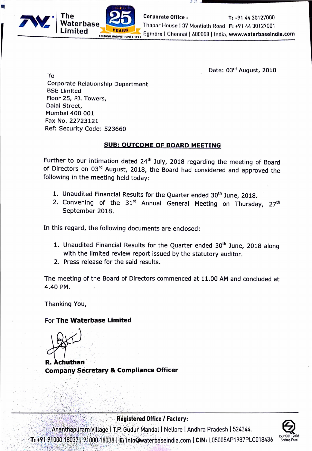

**Corporate Office:** T: +91 44 30127000 Thapar House | 37 Montieth Road F: +91 44 30127001 Egmore | Chennai | 600008 | India, www.waterbaseindia.com

Date: 03" August, 2018

To **Corporate Relationship Department BSE Limited** Floor 25, PJ. Towers, Dalal Street. Mumbai 400 001 Fax No. 22723121 Ref: Security Code: 523660

### **SUB: OUTCOME OF BOARD MEETING**

Further to our intimation dated 24<sup>th</sup> July, 2018 regarding the meeting of Board of Directors on 03rd August, 2018, the Board had considered and approved the following in the meeting held today:

- 1. Unaudited Financial Results for the Quarter ended 30<sup>th</sup> June, 2018.
- 2. Convening of the 31<sup>st</sup> Annual General Meeting on Thursday, 27<sup>th</sup> September 2018.

In this regard, the following documents are enclosed:

- 1. Unaudited Financial Results for the Quarter ended 30<sup>th</sup> June, 2018 along with the limited review report issued by the statutory auditor.
- 2. Press release for the said results.

The meeting of the Board of Directors commenced at 11.00 AM and concluded at 4.40 PM.

Thanking You,

For The Waterbase Limited

**Company Secretary & Compliance Officer** 

### **Registered Office / Factory:**

Ananthapuram Village | T.P. Gudur Mandal | Nellore | Andhra Pradesh | 524344. T: +91 91000 18037 91000 18038 | E: info@waterbaseindia.com | CIN: L05005AP1987PLC018436

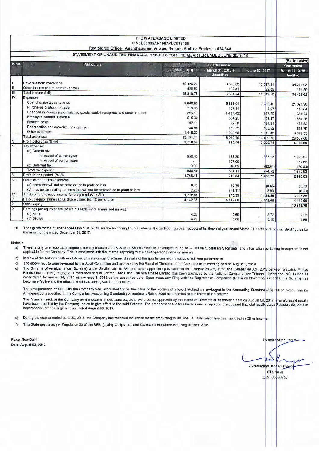|                                                                              | Registered Office: Ananthapuram Village, Nellore, Andhra Pradesh - 524 344       | THE WATERBASE LIMITED<br>CIN: L05005AP1987PLC018436 |                               |                |                           |
|------------------------------------------------------------------------------|----------------------------------------------------------------------------------|-----------------------------------------------------|-------------------------------|----------------|---------------------------|
| STATEMENT OF UNAUDITED FINANCIAL RESULTS FOR THE QUARTER ENDED JUNE 30, 2018 |                                                                                  |                                                     |                               |                |                           |
|                                                                              |                                                                                  |                                                     |                               |                | (Rs. in Lakhs)            |
| S.No.<br><b>Particulars</b>                                                  |                                                                                  |                                                     | Quarter ended                 |                | Year ended                |
| $\overline{R}$                                                               |                                                                                  | June 30, 2018                                       | March 31, 2018 #<br>Unaudited | -June 30, 2017 | March 31, 2018<br>Audited |
| I.                                                                           | Revenue from operations                                                          | 15,429.23                                           | 6,578.83                      | 12,597.41      | 34,274.03                 |
| $\mathsf{II}$                                                                | Other income (Refer note (e) below)                                              | 420.52                                              | 102.41                        | 22.09          | 154.59                    |
| $\mathbf{III}$                                                               | Total income (I+II)                                                              | 15,849.75                                           | 6,681.24                      | 12.619.50      | 34,428.62                 |
| $\overline{N}$                                                               | Expenses                                                                         |                                                     |                               |                |                           |
|                                                                              | Cost of materials consumed                                                       | 9,860.90                                            | 5,663.04                      | 7,230.40       | 21,321.96                 |
|                                                                              | Purchases of stock-in-trade                                                      | 719.43                                              | 107.34                        | 3.97           | 115 34                    |
|                                                                              | Changes in inventories of finished goods, work-in-progress and stock-in-trade    | 296.13                                              | (1,487.42)                    | 917.70         | 334.24                    |
|                                                                              | Employee benefits expense                                                        | 515.39                                              | 504.25                        | 431.97         | 1,864.25                  |
|                                                                              | Finance costs                                                                    | 102.11                                              | 92.58                         | 154.31         | 438.82                    |
|                                                                              | Depreciation and amortization expense                                            | 188.95                                              | 160.35                        | 155.52         | 615.70                    |
|                                                                              | Other expenses                                                                   | 1,448.20                                            | 1,000.65                      | 1,515.89       | 4,877.35                  |
|                                                                              | Total expenses                                                                   | 13,131.11                                           | 6,040.79                      | 10,409.76      | 29,567.66                 |
| $\overline{V}$                                                               | Profit before tax (III-IV)                                                       | 2,718.64                                            | 640.45                        | 2,209.74       | 4,860.96                  |
| VI                                                                           | Tax expense:<br>(a) Current tax                                                  |                                                     |                               |                |                           |
|                                                                              | In respect of current year                                                       | 950.43                                              | 136.80                        | 857.13         | 1,773.87                  |
|                                                                              | In respect of earlier years<br>(b) Deferred tax                                  |                                                     | 167.66                        |                | 167,66                    |
|                                                                              | Total tax expense                                                                | 0.06                                                | 86.65                         | (B2.61)        | (70.60)                   |
| VII                                                                          | Profit for the period (V-VI)                                                     | 950.49                                              | 391.11                        | 774.52         | 1,870.93                  |
| VIII                                                                         | Other comprehensive income                                                       | 1,768.15                                            | 249.34                        | 1,435.22       | 2.990.03                  |
|                                                                              | (a) Items that will not be reclassified to profit or loss                        |                                                     |                               |                |                           |
|                                                                              | (b) Income tax relating to items that will not be reclassified to profit or loss | 6.47                                                | 40.76                         | (8.65)         | 25.79                     |
| $\mathsf{IX}$                                                                | Total comprehensive income for the period (VII+VIII)                             | (2.26)                                              | (14.11)                       | 2.99           | (8.93)                    |
| X                                                                            | Paid-up equity share capital (Face value: Rs. 10 per share)                      | 1,772.36                                            | 275.99                        | 1,429.56       | 3,006.89                  |
| XI                                                                           | Other equity                                                                     | 4,142.68                                            | 4,142.68                      | 4 142.68       | 4.142.68                  |
| XII                                                                          | Earnings per equity share (of Rs. 10 each) - not annualised (in Rs.):            |                                                     |                               |                | 10,819.76                 |
|                                                                              | (a) Basic<br>(b) Diluted                                                         | 4.27<br>4.27                                        | 0.60<br>0.60                  | 3.72<br>3.46   | 7.58<br>7.58              |

# The figures for the quarter ended March 31, 2018 are the balancing figures between the audited figures in respect of full financial year ended March 31, 2018 and the published figures for the nine months ended December 31, 2017.

#### Notes:

a) There is only one reportable segment namely Manufacture & Sale of Shrimp Feed as envisaged in Ind AS - 108 on 'Operating Segments' and information pertaining to segment is not applicable for the Company. This is consistent with the internal reporting to the chief operating decision makers..

b) In view of the seasonal nature of Aquaculture Industry, the financial results of the quarter are not indicative of full year performance.

C) The above results were reviewed by the Audit Committee and approved by the Board of Directors of the Company at its meeting held on August 3, 2018.

d) The Scheme of Amalgamation (Scheme) under Section 391 to 394 and other applicable provisions of the Companies Act, 1956 and Companies Act, 2013 between erstwhile Pinnae Feeds Limited (PFL) engaged in manufacturing of Shrimp Feeds and The Waterbase Limited has been approved by the National Company Law Tribunal, Hyderabad (NCLT) vide its order dated November 14, 2017 with August 1, 2015 as the appointed date. Upon necessary filing with the Registrar of Companies (ROC) on November 27, 2017, the Scheme has become effective and the effect thereof has been given in the accounts.

The amalgamation of PFL with the Company was accounted for on the basis of the Pooling of Interest Method as envisaged in the Accounting Standard (AS) -14 on Accounting for Amalgamations specified in the Companies (Accounting Standards) Amendment Rules, 2006 as amended and in terms of the scheme.

The financial result of the Company for the quarter ended June 30, 2017 were earlier approved by the Board of Directors at its meeting held on August 09, 2017. The aforesaid results have been updated by the Company, so as to give effect to the said Scheme. The predecessor auditors have issued a report on the updated financial results dated February 09, 2018 in supersession of their original report dated August 09, 2017.

e) During the quarter ended June 30, 2018, the Company has received insurance claims amounting to Rs. 354.51 Lakhs which has been included in Other Incom

f) This Statement is as per Pegulation 33 of the SEBI (Listing Obligations and Disclosure Requirements) Regulations, 2015.

Place: New Delhi Date. August 03, 2018 Ey order of the Board

Vikramaditya Mohan Thapa

Chairman DIN:00030967

 $\mathcal{L}$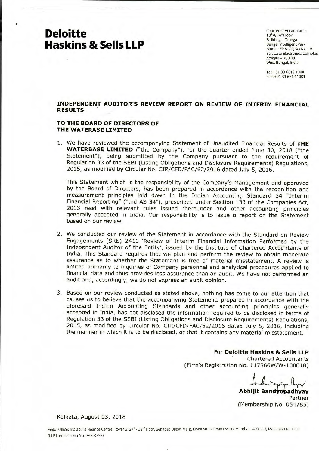# **Deloitte Haskins & Sells LLP**

Chartered Accountants 13<sup>th</sup> & 14<sup>th</sup> Floor Building - Omega Bengal Intelligent Park Block - EP & GP, Sector - V Salt Lake Electronics Complex Kolkata - 700 091 West Bengal, India

Tel: +91 336612 1000 Fax: +91 33 6612 1001

#### **INDEPENDENT AUDITOR'S REVIEW REPORT ON REVIEW OF INTERIM FINANCIAL RESULTS** '

#### **TO THE BOARD OF DIRECTORS OF THE WATERASE LIMITED**

1. We have reviewed the accompanying Statement of Unaudited Financial Results of **THE WATERBASE LIMITED** ("the Company"), for the quarter ended June 30, 2018 ("the Statement"), being submitted by the Company pursuant to the requirement of Regulation 33 of the SEBI (Listing Obligations and Disclosure Requirements) Regulations, 2015, as modified by Circular No. CIR/CFD/FAC/62/2016 dated July 5, 2016.

This Statement which is the responsibility of the Company's Management and approved by the Board of Directors, has been prepared in accordance with the recognition and measurement principles laid down in the Indian Accounting Standard 34 "Interim Financial Reporting" ("Ind AS 34"), prescribed under Section 133 of the Companies Act, 2013 read with relevant rules issued thereunder and other accounting principles generally accepted in India. Our responsibility is to issue a report on the Statement based on our review.

- 2. We conducted our review of the Statement in accordance with the Standard on Review Engagements (SRE) 2410 'Review of Interim Financial Information Performed by the Independent Auditor of the Entity', issued by the Institute of Chartered Accountants of India. This Standard requires that we plan and perform the review to obtain moderate assurance as to whether the Statement is free of material misstatement. A review is limited primarily to inquiries of Company personnel and analytical procedures applied to financial data and thus provides less assurance than an audit. We have not performed an audit and, accordingly, we do not express an audit opinion.
- 3. Based on our review conducted as stated above, nothing has come to our attention that causes us to believe that the accompanying Statement, prepared in accordance with the aforesaid Indian Accounting Standards and other accounting principles generally accepted in India, has not disclosed the information required to be disclosed in terms of Regulation 33 of the SEBI (Listing Obligations and Disclosure Requirements) Regulations, 2015, as modified by Circular No. CIR/CFD/FAC/62/2016 dated July 5, 2016, including the manner in which it is to be disclosed, or that it contains any material misstatement.

For **Deloitte Haskins & Sells LLP**  Chartered Accountants (Firm's Registration No. 117366W/W- 100018) Chartered Accountants<br>No. 117366W/W-100018)<br>Abhijit Bandyopadhyay<br>Partner

(Membership No. 054785)

Kolkata, August 03, 2018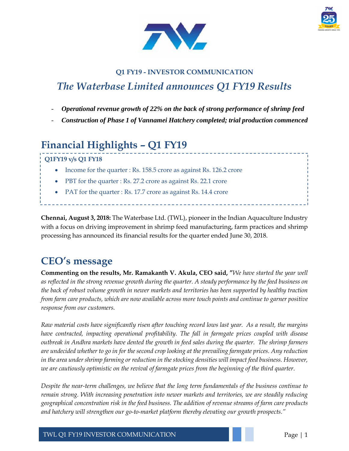



### **Q1 FY19 - INVESTOR COMMUNICATION** *The Waterbase Limited announces Q1 FY19 Results*

- *Operational revenue growth of 22% on the back of strong performance of shrimp feed*
- *Construction of Phase 1 of Vannamei Hatchery completed; trial production commenced*

# **Financial Highlights – Q1 FY19**

**Q1FY19 v/s Q1 FY18**

- Income for the quarter : Rs. 158.5 crore as against Rs. 126.2 crore
- PBT for the quarter : Rs. 27.2 crore as against Rs. 22.1 crore
- PAT for the quarter : Rs. 17.7 crore as against Rs. 14.4 crore

**Chennai, August 3, 2018:** The Waterbase Ltd. (TWL), pioneer in the Indian Aquaculture Industry with a focus on driving improvement in shrimp feed manufacturing, farm practices and shrimp processing has announced its financial results for the quarter ended June 30, 2018.

## **CEO's message**

**Commenting on the results, Mr. Ramakanth V. Akula, CEO said, "***We have started the year well as reflected in the strong revenue growth during the quarter. A steady performance by the feed business on the back of robust volume growth in newer markets and territories has been supported by healthy traction from farm care products, which are now available across more touch points and continue to garner positive response from our customers.*

*Raw material costs have significantly risen after touching record lows last year. As a result, the margins have contracted, impacting operational profitability. The fall in farmgate prices coupled with disease outbreak in Andhra markets have dented the growth in feed sales during the quarter. The shrimp farmers are undecided whether to go in for the second crop looking at the prevailing farmgate prices. Any reduction in the area under shrimp farming or reduction in the stocking densities will impact feed business. However, we are cautiously optimistic on the revival of farmgate prices from the beginning of the third quarter.*

*Despite the near-term challenges, we believe that the long term fundamentals of the business continue to remain strong. With increasing penetration into newer markets and territories, we are steadily reducing geographical concentration risk in the feed business. The addition of revenue streams of farm care products and hatchery will strengthen our go-to-market platform thereby elevating our growth prospects."*